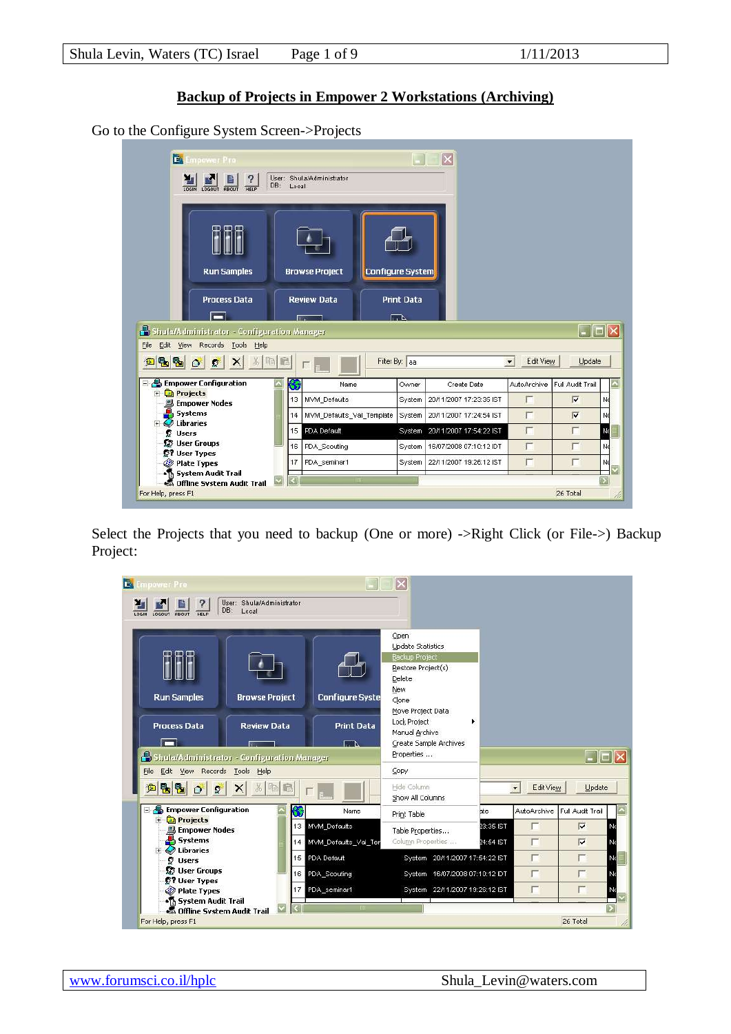## **Backup of Projects in Empower 2 Workstations (Archiving)**

Go to the Configure System Screen->Projects

| EA Empower Pro<br>睯<br>?<br>DB:<br><b>HELP</b><br>LOGIN<br>LOGOUT ABOUT             | User: Shula/Administrator<br>Local |                             | $\overline{\mathsf{x}}$        |                             |                                                                                                     |                  |
|-------------------------------------------------------------------------------------|------------------------------------|-----------------------------|--------------------------------|-----------------------------|-----------------------------------------------------------------------------------------------------|------------------|
| <b>Run Samples</b>                                                                  | <b>Browse Project</b>              | Configure System            |                                |                             |                                                                                                     |                  |
| <b>Process Data</b><br>−                                                            | <b>Review Data</b>                 | <b>Print Data</b><br>$\Box$ |                                |                             |                                                                                                     |                  |
| Shula/Administrator - Configuration Manager<br>Edit View Records Tools Help<br>File |                                    |                             |                                |                             | $\overline{\phantom{a}}$ $\overline{\phantom{a}}$ $\overline{\phantom{a}}$ $\overline{\phantom{a}}$ |                  |
| $X$ $\frac{1}{2}$ $\frac{1}{2}$<br>电图00<br>画                                        |                                    | Filter By: aa               |                                | Edit View<br>$\blacksquare$ | <b>Update</b>                                                                                       |                  |
| <b>E</b> Empower Configuration                                                      | 66<br>Name                         | Owner                       | Create Date                    | AutoArchive                 | Full Audit Trail                                                                                    | $\blacktriangle$ |
| Projects<br>Ĥ<br><b>Empower Nodes</b>                                               | 13<br>MVM_Defaults                 | System                      | 20/11/2007 17:23:35 IST        |                             | $\overline{\mathbf{v}}$                                                                             | Nd               |
| Systems<br>Libraries                                                                | MVM_Defaults_Val_Template<br>14    | System                      | 20/11/2007 17:24:54 IST        | F                           | $\overline{V}$                                                                                      | Nd               |
| <b>B</b> Users                                                                      | PDA Default<br>15                  |                             | System 20/11/2007 17:54:22 IST | г                           | г                                                                                                   | Nd               |
| <b>B</b> User Groups<br><b>57 User Types</b>                                        | PDA_Scouting<br>16                 | System                      | 16/07/2008 07:10:12 IDT        | г                           | г                                                                                                   | Nd               |
| Plate Types                                                                         | PDA_seminar1<br>17                 | System                      | 22/11/2007 19:26:12 IST        |                             |                                                                                                     | Nd               |
| · System Audit Trail<br><b>Offline System Audit Trail</b>                           |                                    | TITTI                       |                                |                             |                                                                                                     |                  |
| For Help, press F1                                                                  |                                    |                             |                                |                             | 26 Total                                                                                            |                  |

Select the Projects that you need to backup (One or more) ->Right Click (or File->) Backup Project:

| <b>E</b> Empower Pro                                               |                                    |                                            | $\overline{\mathsf{x}}$                                                                                   |                        |                                       |                                                    |                               |
|--------------------------------------------------------------------|------------------------------------|--------------------------------------------|-----------------------------------------------------------------------------------------------------------|------------------------|---------------------------------------|----------------------------------------------------|-------------------------------|
| ?<br>DB:<br>LOGOUT<br>LOGIN<br><b>RBOUT</b><br>HELP                | User: Shula/Administrator<br>Local |                                            |                                                                                                           |                        |                                       |                                                    |                               |
| <b>Run Samples</b>                                                 | <b>Browse Project</b>              | <b>Configure Syste</b>                     | Open<br><b>Update Statistics</b><br><b>Backup Project</b><br>Restore Project(s)<br>Delete<br>New<br>Clone |                        |                                       |                                                    |                               |
| <b>Process Data</b><br>Shula/Administrator - Configuration Manager | <b>Review Data</b>                 | <b>Print Data</b><br>┌┌ ∆                  | Move Project Data<br>Lock Project<br>Manual Archive<br>Create Sample Archives<br>Properties               | ٠                      |                                       | $\Box$ ok                                          |                               |
| Edit View Records Tools Help<br>File<br>电图<br>囪<br>$\bullet$<br>ø  | 光.<br>电图                           |                                            | Copy<br>Hide Column<br>Show All Columns                                                                   |                        | Edit View<br>$\overline{\phantom{a}}$ | Update                                             |                               |
| $\Box$ Empower Configuration                                       | 66                                 | Name                                       | Print Table                                                                                               | <b>ate</b>             | <b>AutoArchive</b>                    | Full Audit Trail                                   | ٠                             |
| <b>Projects</b><br>H.<br><b>B</b> Empower Nodes<br>Systems         |                                    | 13 MVM_Defaults<br>14 MVM Defaults Val Ter | Table Properties<br>Column Properties                                                                     | 23:35 IST<br>24:54 IST | г<br>п                                | $\overline{\mathbf{v}}$<br>$\overline{\mathbf{v}}$ | No                            |
| $\overline{+}$ Libraries<br><b><i>C</i></b> Users                  |                                    | 15 PDA Default                             | System 20/11/2007 17:54:22 IST                                                                            |                        | г                                     | г                                                  | E<br>No                       |
| <b>B</b> User Groups<br><b>D? User Types</b>                       |                                    | 16 PDA_Scouting                            | System 16/07/2008 07:10:12 IDT                                                                            |                        | П                                     | г                                                  | No                            |
| Plate Types                                                        | 17                                 | PDA seminar1                               | System 22/11/2007 19:26:12 IST                                                                            |                        | П                                     |                                                    | No<br>$\overline{\mathsf{v}}$ |
| · System Audit Trail<br><b>Offline System Audit Trail</b>          |                                    | $\overline{\mathbf{m}}$                    |                                                                                                           |                        |                                       |                                                    |                               |
| For Help, press F1                                                 |                                    |                                            |                                                                                                           |                        |                                       | 26 Total                                           |                               |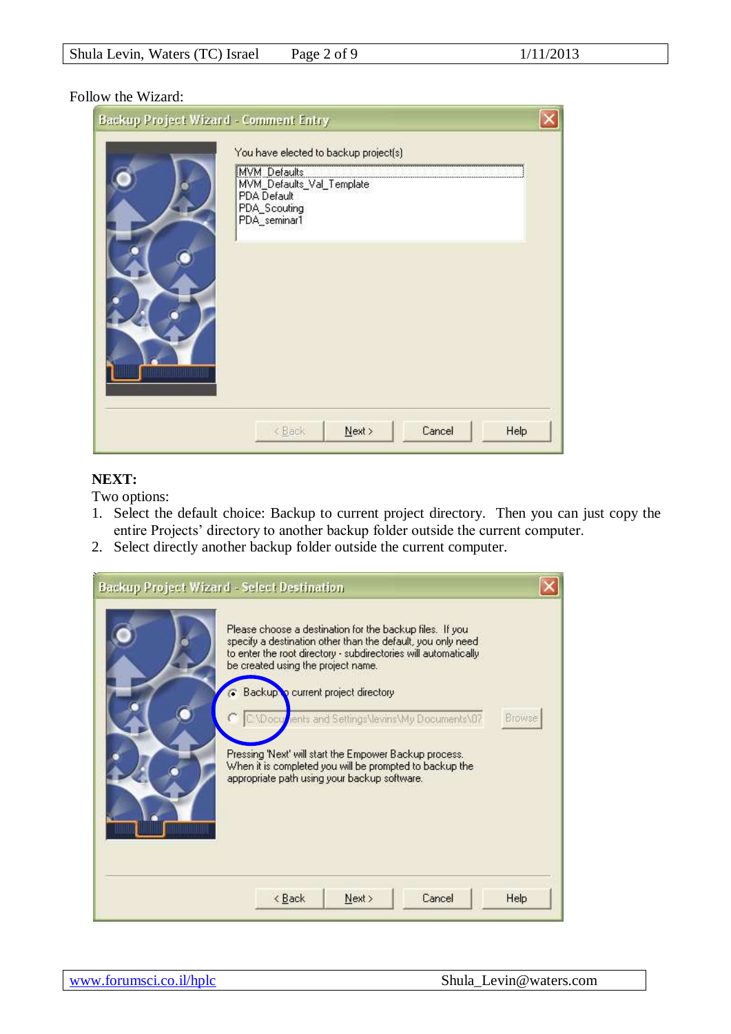#### Follow the Wizard:

| Backup Project Wizard - Comment Entry |                                                                                                                                   |  |
|---------------------------------------|-----------------------------------------------------------------------------------------------------------------------------------|--|
|                                       | You have elected to backup project(s)<br>MVM Defaults<br>MVM_Defaults_Val_Template<br>PDA Default<br>PDA_Scouting<br>PDA_seminar1 |  |
|                                       | Cancel<br><back<br>Next<br/>Help</back<br>                                                                                        |  |

#### **NEXT:**

Two options:

- 1. Select the default choice: Backup to current project directory. Then you can just copy the entire Projects' directory to another backup folder outside the current computer.
- 2. Select directly another backup folder outside the current computer.

| Please choose a destination for the backup files. If you<br>specify a destination other than the default, you only need<br>to enter the root directory - subdirectories will automatically<br>be created using the project name.<br><b>Backup</b> current project directory | Browse |
|-----------------------------------------------------------------------------------------------------------------------------------------------------------------------------------------------------------------------------------------------------------------------------|--------|
| CXDocuments and Settings Vevins My Documents 07<br>Pressing 'Next' will start the Empower Backup process.<br>When it is completed you will be prompted to backup the<br>appropriate path using your backup software.                                                        |        |
| Cancel<br>< Back<br>Next >                                                                                                                                                                                                                                                  | Help   |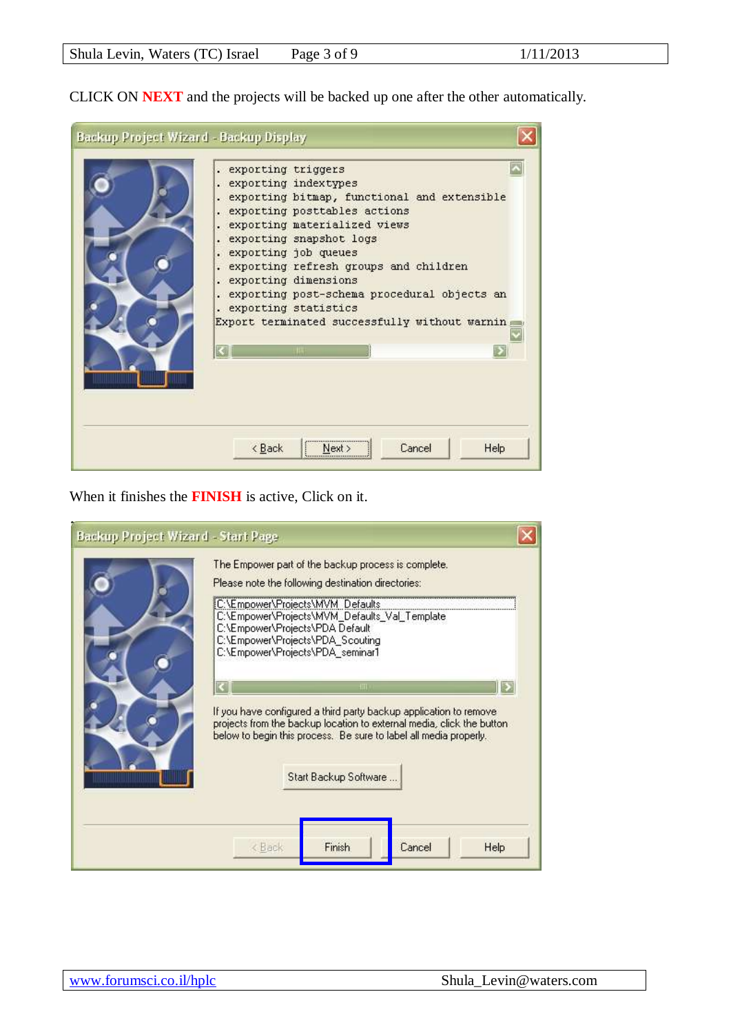CLICK ON **NEXT** and the projects will be backed up one after the other automatically.

| Backup Project Wizard - Backup Display | . exporting triggers<br>. exporting indextypes<br>exporting bitmap, functional and extensible<br>exporting posttables actions<br>exporting materialized views<br>exporting snapshot logs<br>exporting job queues<br>. exporting refresh groups and children<br>. exporting dimensions<br>. exporting post-schema procedural objects an<br>. exporting statistics<br>Export terminated successfully without warnin |      |
|----------------------------------------|-------------------------------------------------------------------------------------------------------------------------------------------------------------------------------------------------------------------------------------------------------------------------------------------------------------------------------------------------------------------------------------------------------------------|------|
|                                        | ШE<br>,,,,,,,,,,,,,,,,,,,,,,,,,,,,,<br>Cancel<br>< Back<br>Next >                                                                                                                                                                                                                                                                                                                                                 | Help |

When it finishes the **FINISH** is active, Click on it.

| Backup Project Wizard - Start Page | The Empower part of the backup process is complete.                                                                                                                                                             |
|------------------------------------|-----------------------------------------------------------------------------------------------------------------------------------------------------------------------------------------------------------------|
|                                    |                                                                                                                                                                                                                 |
|                                    | Please note the following destination directories:                                                                                                                                                              |
|                                    | C:\Empower\Projects\MVM_Defaults                                                                                                                                                                                |
|                                    | C:\Empower\Projects\MVM_Defaults_Val_Template<br>C:\Empower\Projects\PDA Default                                                                                                                                |
|                                    | C:\Empower\Projects\PDA_Scouting                                                                                                                                                                                |
|                                    | C:\Empower\Projects\PDA seminar1                                                                                                                                                                                |
|                                    |                                                                                                                                                                                                                 |
|                                    | HII                                                                                                                                                                                                             |
|                                    | If you have configured a third party backup application to remove<br>projects from the backup location to external media, click the button<br>below to begin this process. Be sure to label all media properly. |
| ,,,,,,,,,,,,,,,,,                  | Start Backup Software                                                                                                                                                                                           |
|                                    |                                                                                                                                                                                                                 |
|                                    |                                                                                                                                                                                                                 |
|                                    | Finish<br>Cancel<br>< Back<br>Help                                                                                                                                                                              |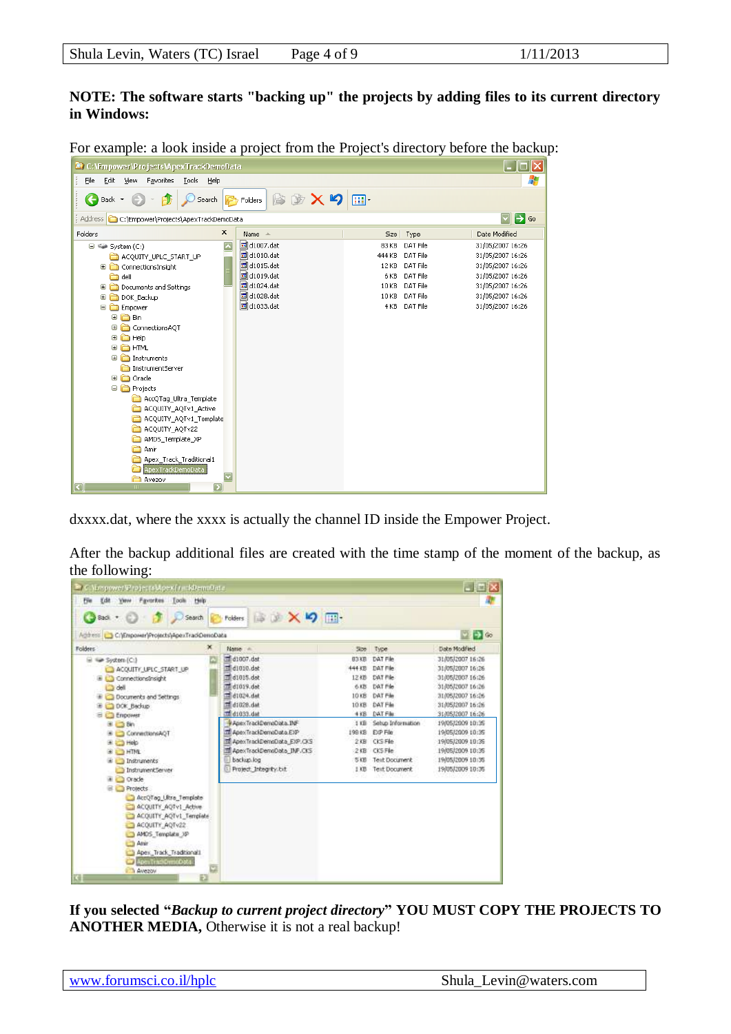### **NOTE: The software starts "backing up" the projects by adding files to its current directory in Windows:**

For example: a look inside a project from the Project's directory before the backup:

| C:\Empower\Projects\ApexTrackDemoData                          |                        |        |               | $\Box$ $\Box$ $\times$                   |
|----------------------------------------------------------------|------------------------|--------|---------------|------------------------------------------|
| File<br>Edit<br>Favorites<br>View<br><b>Tools</b><br>Help      |                        |        |               | 4                                        |
| $\bigodot$ Back $\tau$<br>Search                               | <b>图图Xり</b><br>Folders | 丽·     |               |                                          |
| C:\Empower\Projects\ApexTrackDemoData<br>Address               |                        |        |               | $\Rightarrow$ Go<br>$\blacktriangledown$ |
| ×<br>Folders                                                   | Name $\triangle$       | Size   | Type          | Date Modified                            |
| $\overline{\phantom{a}}$<br>$\Box \Leftrightarrow$ System (C:) | d1007.dat              | 83 KB  | DAT File      | 31/05/2007 16:26                         |
| ACQUITY_UPLC_START_UP                                          | d1010.dat              | 444 KB | DAT File      | 31/05/2007 16:26                         |
| ConnectionsInsight                                             | d1015.dat              | 12 KB  | DAT File      | 31/05/2007 16:26                         |
| a dell                                                         | d1019.dat              | 6 KB   | DAT File      | 31/05/2007 16:26                         |
| Documents and Settings                                         | d1024.dat              | 10 KB  | DAT File      | 31/05/2007 16:26                         |
| DOK_Backup<br>⊕                                                | d1028.dat              | 10 KB  | DAT File      | 31/05/2007 16:26                         |
| <b>Expower</b>                                                 | d1033.dat              |        | 4 KB DAT File | 31/05/2007 16:26                         |
| <b>E</b> a Bin                                                 |                        |        |               |                                          |
| ConnectionsAQT                                                 |                        |        |               |                                          |
| ⊕ a Help                                                       |                        |        |               |                                          |
| $\mathbf \Xi$<br><b>ED</b> HTML                                |                        |        |               |                                          |
| <b>E in</b> Instruments                                        |                        |        |               |                                          |
| InstrumentServer                                               |                        |        |               |                                          |
| ⊕ Oracle                                                       |                        |        |               |                                          |
| □ nojects                                                      |                        |        |               |                                          |
| AccQTag_Ultra_Template                                         |                        |        |               |                                          |
| ACQUITY_AQTv1_Active                                           |                        |        |               |                                          |
| ACQUITY_AQTv1_Template                                         |                        |        |               |                                          |
| ACQUITY AQTv22                                                 |                        |        |               |                                          |
| AMDS_Template_XP                                               |                        |        |               |                                          |
| <b>D</b> Amir                                                  |                        |        |               |                                          |
| Apex_Track_Traditional1                                        |                        |        |               |                                          |
| ApexTrackDemoData                                              |                        |        |               |                                          |
| Avezov<br>⋝<br>ख़<br>m                                         |                        |        |               |                                          |

dxxxx.dat, where the xxxx is actually the channel ID inside the Empower Project.

After the backup additional files are created with the time stamp of the moment of the backup, as the following:

| C. Vimpower V reserved pex from bemotern                                                                                                                                                                                                                                                                                                                                                                                                                                |   |                                                                                                                                                                                                                                                                                                     |                                                                              |                                                                                                                                                                                                                              | $\Box$ $\Box$ $\times$                                                                                                                                                                                                                                           |
|-------------------------------------------------------------------------------------------------------------------------------------------------------------------------------------------------------------------------------------------------------------------------------------------------------------------------------------------------------------------------------------------------------------------------------------------------------------------------|---|-----------------------------------------------------------------------------------------------------------------------------------------------------------------------------------------------------------------------------------------------------------------------------------------------------|------------------------------------------------------------------------------|------------------------------------------------------------------------------------------------------------------------------------------------------------------------------------------------------------------------------|------------------------------------------------------------------------------------------------------------------------------------------------------------------------------------------------------------------------------------------------------------------|
| File Edit Yerv Favorites Tools Help                                                                                                                                                                                                                                                                                                                                                                                                                                     |   |                                                                                                                                                                                                                                                                                                     |                                                                              |                                                                                                                                                                                                                              |                                                                                                                                                                                                                                                                  |
| Gast → ○ す Disearch Proders 自動 × り 田·<br>Agthesi C/Empower/Projects)ApexTradiDemoData                                                                                                                                                                                                                                                                                                                                                                                   |   |                                                                                                                                                                                                                                                                                                     |                                                                              |                                                                                                                                                                                                                              | $\bullet$ $\bullet$                                                                                                                                                                                                                                              |
| Folders:                                                                                                                                                                                                                                                                                                                                                                                                                                                                | × | Name -                                                                                                                                                                                                                                                                                              | Size:                                                                        | Type                                                                                                                                                                                                                         | Date Modified                                                                                                                                                                                                                                                    |
| E = System (C)<br>ACQUITY_UPLC_START_UP<br>ConnectionsInsight<br><b>La dell</b><br>Documents and Settings<br>DOK Beckup<br>El Empower<br>田 □ Bin<br>E ConnectionsAQT<br>EL Help<br><b>BITH C</b><br># Instruments<br>InstrumentServer<br>iii Orade<br><b>Protects</b><br>AccQTag Ultra Template<br>ACQUITY_AQTy1_Active<br>ACQUITY_AQTv1_Templete<br>ACQUITY_AQTv22<br>AMOS Template XP<br><b>3 Anim</b><br>Apex, Track, Traditionalit<br>ApexTradiomsOpts<br>A Avezovi | Đ | dt007.dat<br>$\equiv$ d1010.det<br>d1015.dst<br>d1019.det<br>$\equiv$ d1024.dat<br>$\frac{1}{24}$ d1028.dat<br>$\frac{1}{100}$ d1033.dat<br>ApexTrackDemoData.INF<br>Til ApexTrackDemoData.EXP<br>ApexTrackDemaData_EXP.OKS<br>Til ApexTrackDemoData INF.CKS<br>backup.log<br>Project_Integrity.bit | 444 KB<br>12kB<br>6.825<br>1018<br>10 KB<br>$4$ $$B$<br>1KB<br>SKB<br>$1$ KB | 83 KB DAT File<br>DAT File<br>DAT File<br>DAT File<br><b>DAT File</b><br><b>DAT File</b><br><b>DAT Film</b><br>Setup Information<br>198 KB E/P File<br>2KB CKS File<br>2KB CKS File<br><b>Text Document</b><br>Text Document | 31/05/2007 16:26<br>31/05/2007 16:26<br>31/05/2007 16:26<br>31/05/2007 16:26<br>31/05/2007 16:26<br>31/05/2007 16:26<br>31/05/2007 16:26<br>19/05/2009 10:35<br>19/05/2009 10:35<br>19/05/2009 10:35<br>19/05/2009 10:35<br>19/05/2009 10:35<br>19/05/2009 10:35 |

**If you selected "***Backup to current project directory***" YOU MUST COPY THE PROJECTS TO ANOTHER MEDIA,** Otherwise it is not a real backup!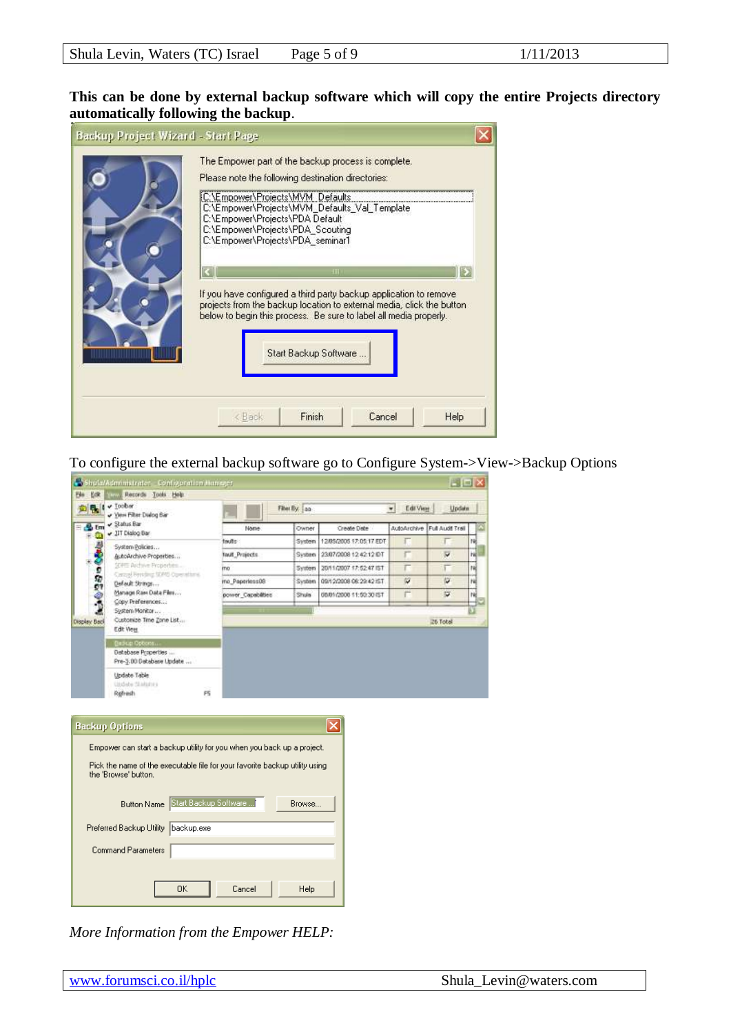| Backup Project Wizard - Start Page | The Empower part of the backup process is complete.<br>Please note the following destination directories:<br>C:\Empower\Projects\MVM_Defaults<br>C:\Empower\Projects\MVM_Defaults_Val_Template<br>C:\Empower\Projects\PDA Default<br>C:\Empower\Projects\PDA_Scouting<br>C:\Empower\Projects\PDA seminar1<br>HII<br>If you have configured a third party backup application to remove<br>projects from the backup location to external media, click the button |
|------------------------------------|----------------------------------------------------------------------------------------------------------------------------------------------------------------------------------------------------------------------------------------------------------------------------------------------------------------------------------------------------------------------------------------------------------------------------------------------------------------|
| ,,,,,,,,,,,,,,                     | below to begin this process. Be sure to label all media properly.<br>Start Backup Software<br>Cancel<br>Finish<br>< Back<br>Help                                                                                                                                                                                                                                                                                                                               |

To configure the external backup software go to Configure System->View->Backup Options

| $\sqrt{}$ Toober<br>V Yern Filter Dialog Bar                                                        |                    | Filter By: aa |                                    | Edit View<br>۰l | Update           |
|-----------------------------------------------------------------------------------------------------|--------------------|---------------|------------------------------------|-----------------|------------------|
| $\sqrt{3}$ atus Bar<br>Um                                                                           | Name               | Owner         | Create Date                        | AutoArchive     | Full Audit Trail |
| JT Dialog Bar                                                                                       | touts              | System        | 12/05/2005 17:05:17 EDT            | г               |                  |
| System Policies<br>AutoArchive Properties                                                           | Toult Projects     | System        | 23/07/2008 12:42:12 IDT            | r               | Ψ                |
| SERIE Archive Properbes                                                                             | mo                 | System        | 20/11/2007 17:52:47 151            | г               |                  |
| Carzal Fersling SDMS Operations.<br>Default Strings                                                 | mo Paperless08     | System        | 09/12/2008 08:29:42 IST            | w               | w                |
| - 225<br>Manage Ram Data Film<br>Copy Preferences                                                   | power Capabilities | Shula         | 08/01/2008 11:50:30 IST            | 芒               | ÿ.               |
| System Monitor<br>Customate Time Zone List<br>Display Back<br>Edit View                             |                    |               |                                    |                 | 26 Total         |
| Distabase Properties<br>Pre-3.00 Database Update                                                    |                    |               |                                    |                 |                  |
|                                                                                                     |                    |               |                                    |                 |                  |
| Update Table<br>Utdate Statutes<br>Refresh                                                          | F5                 |               |                                    |                 |                  |
|                                                                                                     |                    |               |                                    |                 |                  |
| <b>Backup Options</b>                                                                               |                    |               | $\left\vert \mathsf{x}\right\vert$ |                 |                  |
| Empower can start a backup utility for you when you back up a project.                              |                    |               |                                    |                 |                  |
|                                                                                                     |                    |               |                                    |                 |                  |
| Pick the name of the executable file for your favorite backup utility using<br>the 'Browse' button. |                    |               |                                    |                 |                  |
| Button Name Start Backup Software                                                                   |                    | Browse        |                                    |                 |                  |
| Preferred Backup Utility backup.exe                                                                 |                    |               |                                    |                 |                  |
| Command Parameters                                                                                  |                    |               |                                    |                 |                  |
|                                                                                                     |                    |               |                                    |                 |                  |

*More Information from the Empower HELP:*

×  $\mathbf{L}$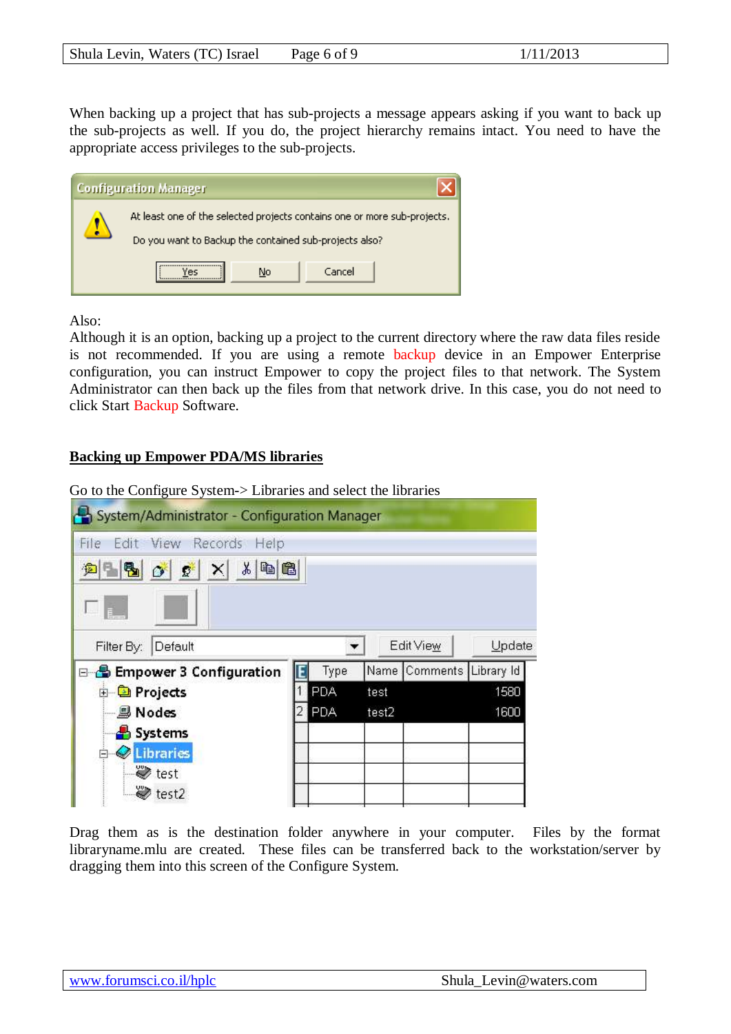When backing up a project that has sub-projects a message appears asking if you want to back up the sub-projects as well. If you do, the project hierarchy remains intact. You need to have the appropriate access privileges to the sub-projects.



Also:

Although it is an option, backing up a project to the current directory where the raw data files reside is not recommended. If you are using a remote backup device in an Empower Enterprise configuration, you can instruct Empower to copy the project files to that network. The System Administrator can then back up the files from that network drive. In this case, you do not need to click Start Backup Software.

### **Backing up Empower PDA/MS libraries**

Go to the Configure System-> Libraries and select the libraries



Drag them as is the destination folder anywhere in your computer. Files by the format libraryname.mlu are created. These files can be transferred back to the workstation/server by dragging them into this screen of the Configure System.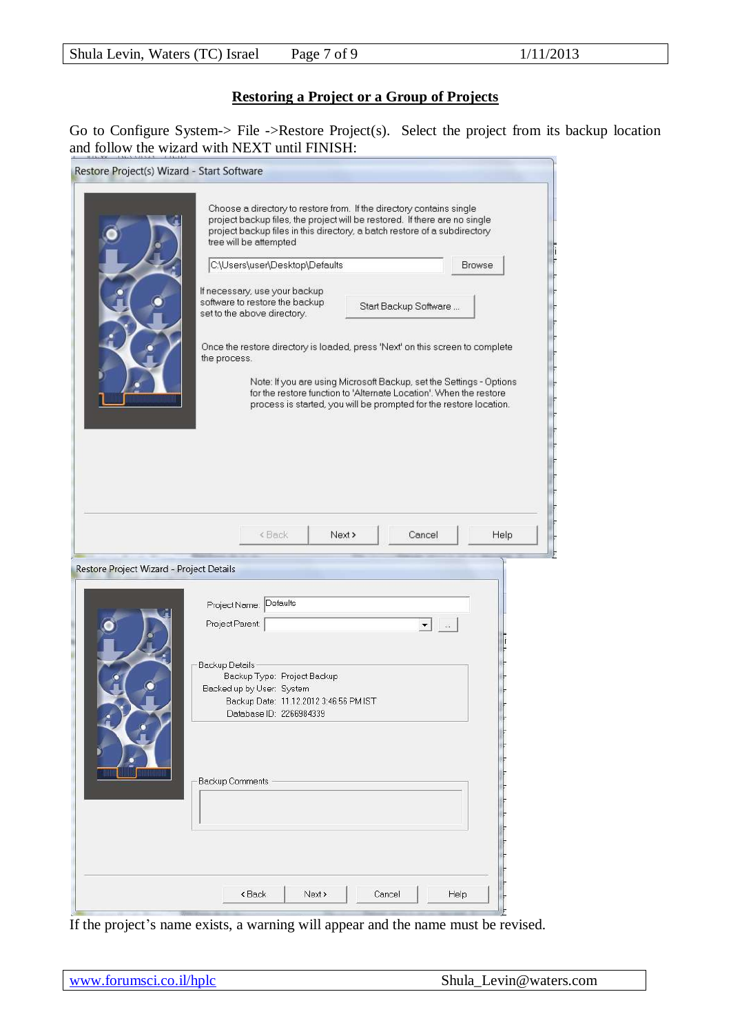# **Restoring a Project or a Group of Projects**

Go to Configure System-> File ->Restore Project(s). Select the project from its backup location and follow the wizard with NEXT until FINISH:

| Restore Project(s) Wizard - Start Software |                                                                                                                                                                                                                                                                                                                                                                                                                                                                                                                                                                                                                                                                                                                                                             |
|--------------------------------------------|-------------------------------------------------------------------------------------------------------------------------------------------------------------------------------------------------------------------------------------------------------------------------------------------------------------------------------------------------------------------------------------------------------------------------------------------------------------------------------------------------------------------------------------------------------------------------------------------------------------------------------------------------------------------------------------------------------------------------------------------------------------|
|                                            | Choose a directory to restore from. If the directory contains single<br>project backup files, the project will be restored. If there are no single<br>project backup files in this directory, a batch restore of a subdirectory<br>tree will be attempted<br>C:\Users\user\Desktop\Defaults<br><b>Browse</b><br>If necessary, use your backup<br>software to restore the backup<br>Start Backup Software<br>set to the above directory.<br>Once the restore directory is loaded, press 'Next' on this screen to complete<br>the process.<br>Note: If you are using Microsoft Backup, set the Settings - Options<br>for the restore function to 'Alternate Location'. When the restore<br>process is started, you will be prompted for the restore location. |
|                                            | Cancel<br><back<br>Next &gt;<br/>Help</back<br>                                                                                                                                                                                                                                                                                                                                                                                                                                                                                                                                                                                                                                                                                                             |
| Restore Project Wizard - Project Details   |                                                                                                                                                                                                                                                                                                                                                                                                                                                                                                                                                                                                                                                                                                                                                             |
|                                            | Project Name: Defaults<br>Project Parent:<br>▾┆<br>$\sim$<br><b>Backup Details</b><br>Backup Type: Project Backup<br>Backed up by User: System<br>Backup Date: 11.12.2012 3:46:56 PM IST<br>Database ID: 2266984339<br><b>Backup Comments</b>                                                                                                                                                                                                                                                                                                                                                                                                                                                                                                               |
|                                            | <back<br>Cancel<br/>Next &gt;<br/>Help</back<br>                                                                                                                                                                                                                                                                                                                                                                                                                                                                                                                                                                                                                                                                                                            |

If the project's name exists, a warning will appear and the name must be revised.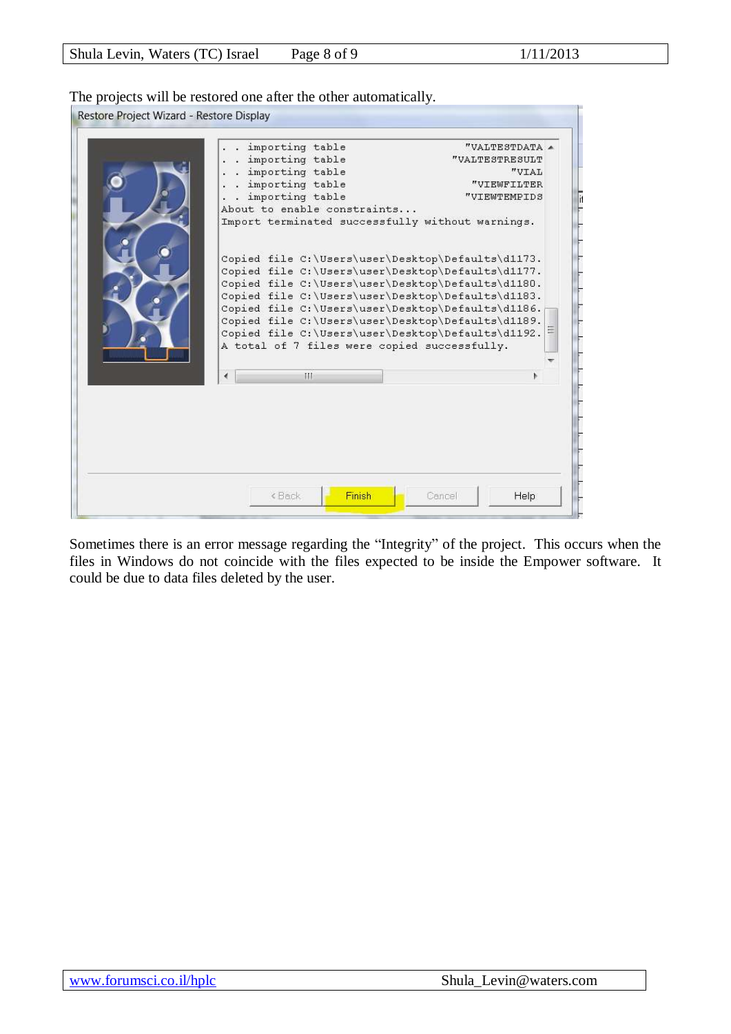The projects will be restored one after the other automatically.

| importing table<br>importing table                                                                                                                                                                                                                                                                                                                                                                                              | $"VALTERSTDATA \triangle$<br>"VALTESTRESULT |
|---------------------------------------------------------------------------------------------------------------------------------------------------------------------------------------------------------------------------------------------------------------------------------------------------------------------------------------------------------------------------------------------------------------------------------|---------------------------------------------|
| importing table                                                                                                                                                                                                                                                                                                                                                                                                                 | "VIAL                                       |
| importing table                                                                                                                                                                                                                                                                                                                                                                                                                 | "VIEWFILTER                                 |
| importing table                                                                                                                                                                                                                                                                                                                                                                                                                 | "VIEWTEMPIDS                                |
| About to enable constraints                                                                                                                                                                                                                                                                                                                                                                                                     |                                             |
| Import terminated successfully without warnings.                                                                                                                                                                                                                                                                                                                                                                                |                                             |
| Copied file C:\Users\user\Desktop\Defaults\d1173.<br>Copied file C:\Users\user\Desktop\Defaults\d1177.<br>Copied file C:\Users\user\Desktop\Defaults\d1180.<br>Copied file C:\Users\user\Desktop\Defaults\d1183.<br>Copied file C:\Users\user\Desktop\Defaults\d1186.<br>Copied file C:\Users\user\Desktop\Defaults\d1189.<br>Copied file C:\Users\user\Desktop\Defaults\d1192.<br>A total of 7 files were copied successfully. |                                             |
|                                                                                                                                                                                                                                                                                                                                                                                                                                 |                                             |
| Ш                                                                                                                                                                                                                                                                                                                                                                                                                               |                                             |
|                                                                                                                                                                                                                                                                                                                                                                                                                                 |                                             |
|                                                                                                                                                                                                                                                                                                                                                                                                                                 |                                             |

Sometimes there is an error message regarding the "Integrity" of the project. This occurs when the files in Windows do not coincide with the files expected to be inside the Empower software. It could be due to data files deleted by the user.